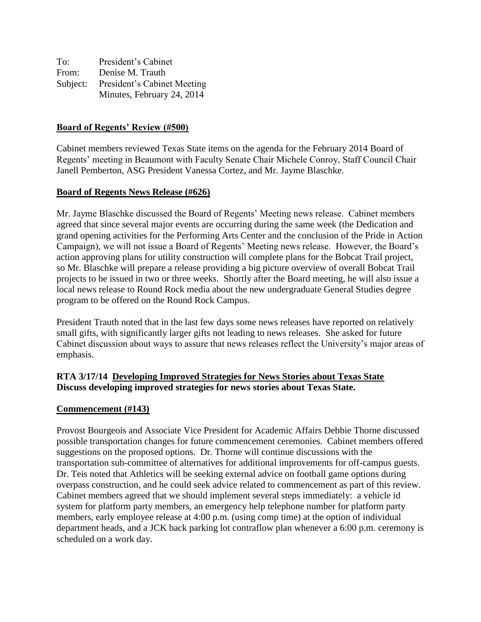| To:      | President's Cabinet         |
|----------|-----------------------------|
| From:    | Denise M. Trauth            |
| Subject: | President's Cabinet Meeting |
|          | Minutes, February 24, 2014  |

#### **Board of Regents' Review (#500)**

Cabinet members reviewed Texas State items on the agenda for the February 2014 Board of Regents' meeting in Beaumont with Faculty Senate Chair Michele Conroy, Staff Council Chair Janell Pemberton, ASG President Vanessa Cortez, and Mr. Jayme Blaschke.

#### **Board of Regents News Release (#626)**

Mr. Jayme Blaschke discussed the Board of Regents' Meeting news release. Cabinet members agreed that since several major events are occurring during the same week (the Dedication and grand opening activities for the Performing Arts Center and the conclusion of the Pride in Action Campaign), we will not issue a Board of Regents' Meeting news release. However, the Board's action approving plans for utility construction will complete plans for the Bobcat Trail project, so Mr. Blaschke will prepare a release providing a big picture overview of overall Bobcat Trail projects to be issued in two or three weeks. Shortly after the Board meeting, he will also issue a local news release to Round Rock media about the new undergraduate General Studies degree program to be offered on the Round Rock Campus.

President Trauth noted that in the last few days some news releases have reported on relatively small gifts, with significantly larger gifts not leading to news releases. She asked for future Cabinet discussion about ways to assure that news releases reflect the University's major areas of emphasis.

## **RTA 3/17/14 Developing Improved Strategies for News Stories about Texas State Discuss developing improved strategies for news stories about Texas State.**

#### **Commencement (#143)**

Provost Bourgeois and Associate Vice President for Academic Affairs Debbie Thorne discussed possible transportation changes for future commencement ceremonies. Cabinet members offered suggestions on the proposed options. Dr. Thorne will continue discussions with the transportation sub-committee of alternatives for additional improvements for off-campus guests. Dr. Teis noted that Athletics will be seeking external advice on football game options during overpass construction, and he could seek advice related to commencement as part of this review. Cabinet members agreed that we should implement several steps immediately: a vehicle id system for platform party members, an emergency help telephone number for platform party members, early employee release at 4:00 p.m. (using comp time) at the option of individual department heads, and a JCK back parking lot contraflow plan whenever a 6:00 p.m. ceremony is scheduled on a work day.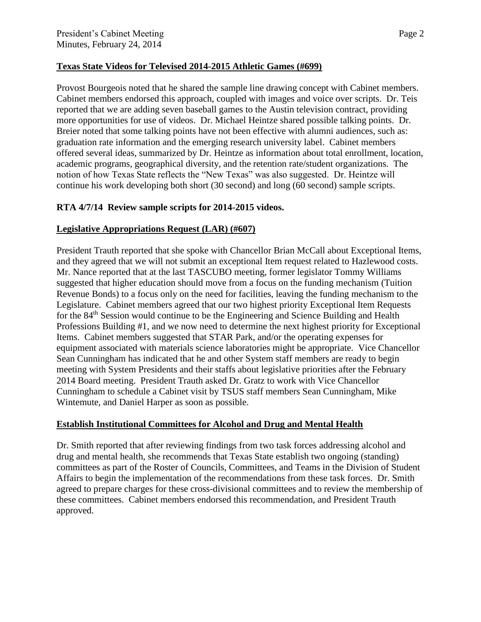## **Texas State Videos for Televised 2014-2015 Athletic Games (#699)**

Provost Bourgeois noted that he shared the sample line drawing concept with Cabinet members. Cabinet members endorsed this approach, coupled with images and voice over scripts. Dr. Teis reported that we are adding seven baseball games to the Austin television contract, providing more opportunities for use of videos. Dr. Michael Heintze shared possible talking points. Dr. Breier noted that some talking points have not been effective with alumni audiences, such as: graduation rate information and the emerging research university label. Cabinet members offered several ideas, summarized by Dr. Heintze as information about total enrollment, location, academic programs, geographical diversity, and the retention rate/student organizations. The notion of how Texas State reflects the "New Texas" was also suggested. Dr. Heintze will continue his work developing both short (30 second) and long (60 second) sample scripts.

# **RTA 4/7/14 Review sample scripts for 2014-2015 videos.**

# **Legislative Appropriations Request (LAR) (#607)**

President Trauth reported that she spoke with Chancellor Brian McCall about Exceptional Items, and they agreed that we will not submit an exceptional Item request related to Hazlewood costs. Mr. Nance reported that at the last TASCUBO meeting, former legislator Tommy Williams suggested that higher education should move from a focus on the funding mechanism (Tuition Revenue Bonds) to a focus only on the need for facilities, leaving the funding mechanism to the Legislature. Cabinet members agreed that our two highest priority Exceptional Item Requests for the 84th Session would continue to be the Engineering and Science Building and Health Professions Building #1, and we now need to determine the next highest priority for Exceptional Items. Cabinet members suggested that STAR Park, and/or the operating expenses for equipment associated with materials science laboratories might be appropriate. Vice Chancellor Sean Cunningham has indicated that he and other System staff members are ready to begin meeting with System Presidents and their staffs about legislative priorities after the February 2014 Board meeting. President Trauth asked Dr. Gratz to work with Vice Chancellor Cunningham to schedule a Cabinet visit by TSUS staff members Sean Cunningham, Mike Wintemute, and Daniel Harper as soon as possible.

## **Establish Institutional Committees for Alcohol and Drug and Mental Health**

Dr. Smith reported that after reviewing findings from two task forces addressing alcohol and drug and mental health, she recommends that Texas State establish two ongoing (standing) committees as part of the Roster of Councils, Committees, and Teams in the Division of Student Affairs to begin the implementation of the recommendations from these task forces. Dr. Smith agreed to prepare charges for these cross-divisional committees and to review the membership of these committees. Cabinet members endorsed this recommendation, and President Trauth approved.